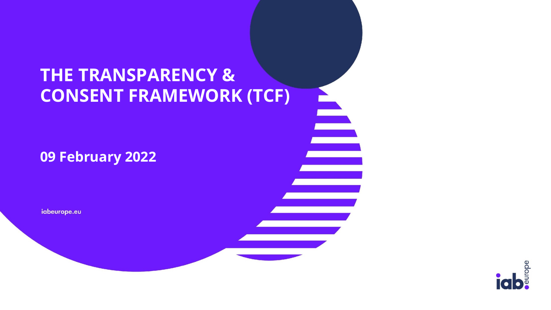## **THE TRANSPARENCY & CONSENT FRAMEWORK (TCF)**

È

#### **09 February 2022**

iabeurope.eu

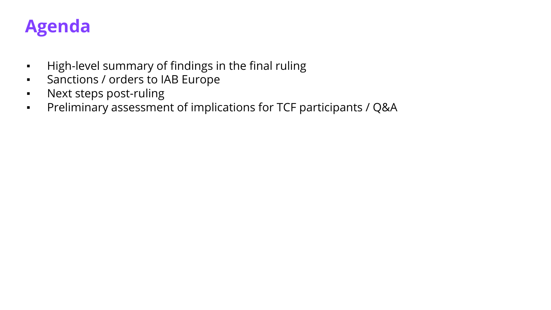## **Agenda**

- High-level summary of findings in the final ruling
- Sanctions / orders to IAB Europe
- Next steps post-ruling
- Preliminary assessment of implications for TCF participants / Q&A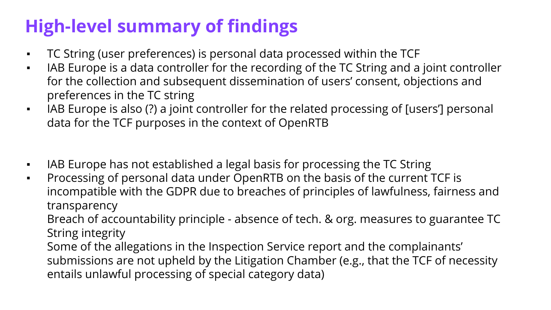# **High-level summary of findings**

- TC String (user preferences) is personal data processed within the TCF
- **IAB Europe is a data controller for the recording of the TC String and a joint controller** for the collection and subsequent dissemination of users' consent, objections and preferences in the TC string
- IAB Europe is also (?) a joint controller for the related processing of [users'] personal data for the TCF purposes in the context of OpenRTB
- IAB Europe has not established a legal basis for processing the TC String
- Processing of personal data under OpenRTB on the basis of the current TCF is incompatible with the GDPR due to breaches of principles of lawfulness, fairness and transparency

Breach of accountability principle - absence of tech. & org. measures to guarantee TC String integrity

Some of the allegations in the Inspection Service report and the complainants' submissions are not upheld by the Litigation Chamber (e.g., that the TCF of necessity entails unlawful processing of special category data)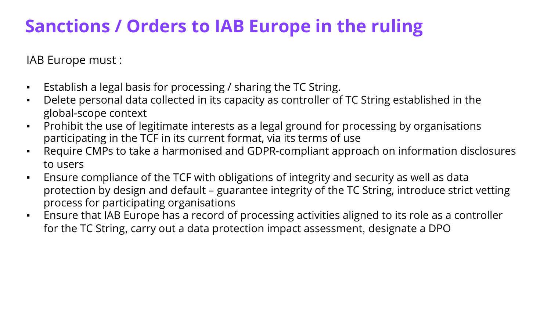# **Sanctions / Orders to IAB Europe in the ruling**

IAB Europe must :

- Establish a legal basis for processing / sharing the TC String.
- Delete personal data collected in its capacity as controller of TC String established in the global-scope context
- **•** Prohibit the use of legitimate interests as a legal ground for processing by organisations participating in the TCF in its current format, via its terms of use
- Require CMPs to take a harmonised and GDPR-compliant approach on information disclosures to users
- Ensure compliance of the TCF with obligations of integrity and security as well as data protection by design and default – guarantee integrity of the TC String, introduce strict vetting process for participating organisations
- **Ensure that IAB Europe has a record of processing activities aligned to its role as a controller** for the TC String, carry out a data protection impact assessment, designate a DPO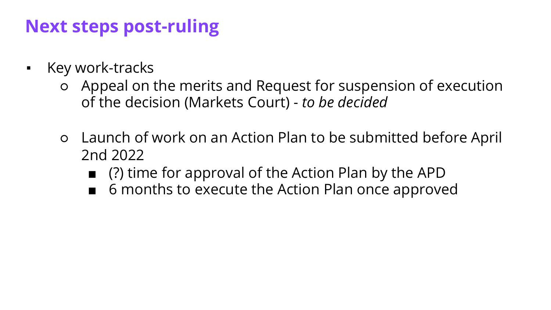## **Next steps post-ruling**

- Key work-tracks
	- Appeal on the merits and Request for suspension of execution of the decision (Markets Court) - *to be decided*
	- Launch of work on an Action Plan to be submitted before April 2nd 2022
		- (?) time for approval of the Action Plan by the APD
		- 6 months to execute the Action Plan once approved